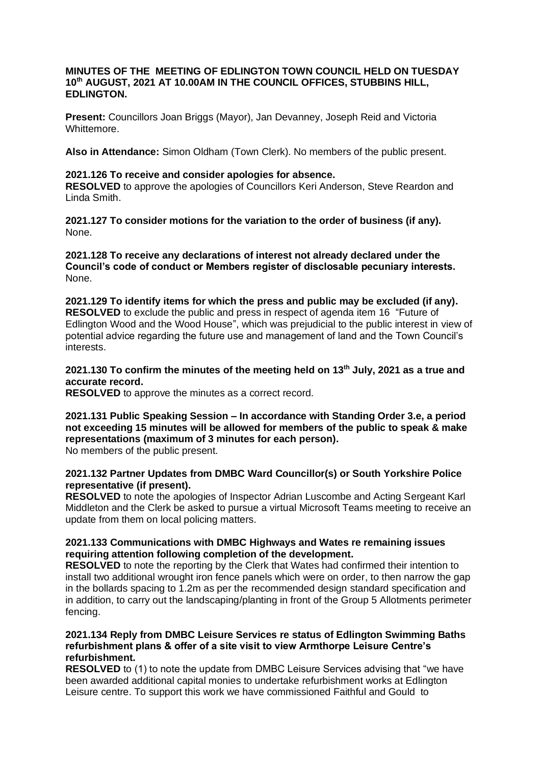#### **MINUTES OF THE MEETING OF EDLINGTON TOWN COUNCIL HELD ON TUESDAY 10 th AUGUST, 2021 AT 10.00AM IN THE COUNCIL OFFICES, STUBBINS HILL, EDLINGTON.**

**Present:** Councillors Joan Briggs (Mayor), Jan Devanney, Joseph Reid and Victoria Whittemore.

**Also in Attendance:** Simon Oldham (Town Clerk). No members of the public present.

#### **2021.126 To receive and consider apologies for absence.**

**RESOLVED** to approve the apologies of Councillors Keri Anderson, Steve Reardon and Linda Smith.

**2021.127 To consider motions for the variation to the order of business (if any).** None.

**2021.128 To receive any declarations of interest not already declared under the Council's code of conduct or Members register of disclosable pecuniary interests.** None.

**2021.129 To identify items for which the press and public may be excluded (if any). RESOLVED** to exclude the public and press in respect of agenda item 16 "Future of Edlington Wood and the Wood House", which was prejudicial to the public interest in view of potential advice regarding the future use and management of land and the Town Council's interests.

# **2021.130 To confirm the minutes of the meeting held on 13th July, 2021 as a true and accurate record.**

**RESOLVED** to approve the minutes as a correct record.

# **2021.131 Public Speaking Session – In accordance with Standing Order 3.e, a period not exceeding 15 minutes will be allowed for members of the public to speak & make representations (maximum of 3 minutes for each person).**

No members of the public present.

# **2021.132 Partner Updates from DMBC Ward Councillor(s) or South Yorkshire Police representative (if present).**

**RESOLVED** to note the apologies of Inspector Adrian Luscombe and Acting Sergeant Karl Middleton and the Clerk be asked to pursue a virtual Microsoft Teams meeting to receive an update from them on local policing matters.

#### **2021.133 Communications with DMBC Highways and Wates re remaining issues requiring attention following completion of the development.**

**RESOLVED** to note the reporting by the Clerk that Wates had confirmed their intention to install two additional wrought iron fence panels which were on order, to then narrow the gap in the bollards spacing to 1.2m as per the recommended design standard specification and in addition, to carry out the landscaping/planting in front of the Group 5 Allotments perimeter fencing.

#### **2021.134 Reply from DMBC Leisure Services re status of Edlington Swimming Baths refurbishment plans & offer of a site visit to view Armthorpe Leisure Centre's refurbishment.**

**RESOLVED** to (1) to note the update from DMBC Leisure Services advising that "we have been awarded additional capital monies to undertake refurbishment works at Edlington Leisure centre. To support this work we have commissioned Faithful and Gould to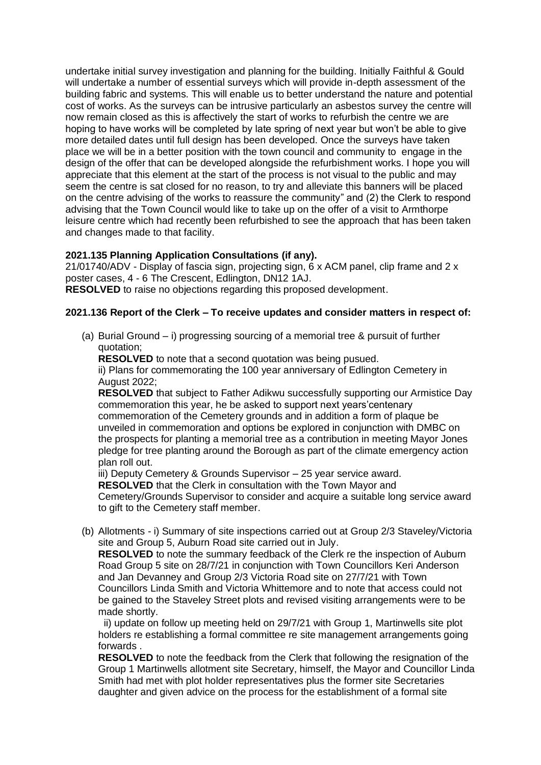undertake initial survey investigation and planning for the building. Initially Faithful & Gould will undertake a number of essential surveys which will provide in-depth assessment of the building fabric and systems. This will enable us to better understand the nature and potential cost of works. As the surveys can be intrusive particularly an asbestos survey the centre will now remain closed as this is affectively the start of works to refurbish the centre we are hoping to have works will be completed by late spring of next year but won't be able to give more detailed dates until full design has been developed. Once the surveys have taken place we will be in a better position with the town council and community to engage in the design of the offer that can be developed alongside the refurbishment works. I hope you will appreciate that this element at the start of the process is not visual to the public and may seem the centre is sat closed for no reason, to try and alleviate this banners will be placed on the centre advising of the works to reassure the community" and (2) the Clerk to respond advising that the Town Council would like to take up on the offer of a visit to Armthorpe leisure centre which had recently been refurbished to see the approach that has been taken and changes made to that facility.

#### **2021.135 Planning Application Consultations (if any).**

21/01740/ADV - Display of fascia sign, projecting sign, 6 x ACM panel, clip frame and 2 x poster cases, 4 - 6 The Crescent, Edlington, DN12 1AJ. **RESOLVED** to raise no objections regarding this proposed development.

#### **2021.136 Report of the Clerk – To receive updates and consider matters in respect of:**

(a) Burial Ground – i) progressing sourcing of a memorial tree & pursuit of further quotation;

**RESOLVED** to note that a second quotation was being pusued.

ii) Plans for commemorating the 100 year anniversary of Edlington Cemetery in August 2022;

**RESOLVED** that subject to Father Adikwu successfully supporting our Armistice Day commemoration this year, he be asked to support next years'centenary commemoration of the Cemetery grounds and in addition a form of plaque be unveiled in commemoration and options be explored in conjunction with DMBC on the prospects for planting a memorial tree as a contribution in meeting Mayor Jones pledge for tree planting around the Borough as part of the climate emergency action plan roll out.

iii) Deputy Cemetery & Grounds Supervisor – 25 year service award.

**RESOLVED** that the Clerk in consultation with the Town Mayor and

Cemetery/Grounds Supervisor to consider and acquire a suitable long service award to gift to the Cemetery staff member.

(b) Allotments - i) Summary of site inspections carried out at Group 2/3 Staveley/Victoria site and Group 5, Auburn Road site carried out in July.

**RESOLVED** to note the summary feedback of the Clerk re the inspection of Auburn Road Group 5 site on 28/7/21 in conjunction with Town Councillors Keri Anderson and Jan Devanney and Group 2/3 Victoria Road site on 27/7/21 with Town Councillors Linda Smith and Victoria Whittemore and to note that access could not be gained to the Staveley Street plots and revised visiting arrangements were to be made shortly.

 ii) update on follow up meeting held on 29/7/21 with Group 1, Martinwells site plot holders re establishing a formal committee re site management arrangements going forwards .

**RESOLVED** to note the feedback from the Clerk that following the resignation of the Group 1 Martinwells allotment site Secretary, himself, the Mayor and Councillor Linda Smith had met with plot holder representatives plus the former site Secretaries daughter and given advice on the process for the establishment of a formal site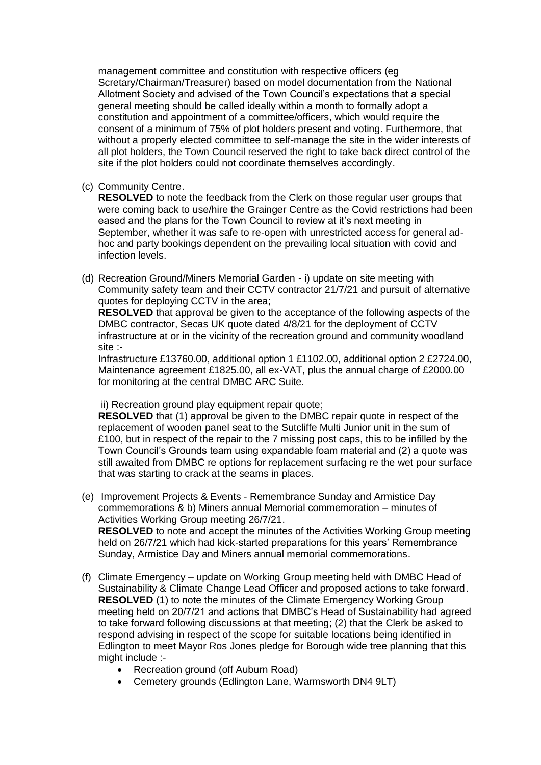management committee and constitution with respective officers (eg Scretary/Chairman/Treasurer) based on model documentation from the National Allotment Society and advised of the Town Council's expectations that a special general meeting should be called ideally within a month to formally adopt a constitution and appointment of a committee/officers, which would require the consent of a minimum of 75% of plot holders present and voting. Furthermore, that without a properly elected committee to self-manage the site in the wider interests of all plot holders, the Town Council reserved the right to take back direct control of the site if the plot holders could not coordinate themselves accordingly.

(c) Community Centre.

**RESOLVED** to note the feedback from the Clerk on those regular user groups that were coming back to use/hire the Grainger Centre as the Covid restrictions had been eased and the plans for the Town Council to review at it's next meeting in September, whether it was safe to re-open with unrestricted access for general adhoc and party bookings dependent on the prevailing local situation with covid and infection levels.

(d) Recreation Ground/Miners Memorial Garden - i) update on site meeting with Community safety team and their CCTV contractor 21/7/21 and pursuit of alternative quotes for deploying CCTV in the area;

**RESOLVED** that approval be given to the acceptance of the following aspects of the DMBC contractor, Secas UK quote dated 4/8/21 for the deployment of CCTV infrastructure at or in the vicinity of the recreation ground and community woodland site :-

Infrastructure £13760.00, additional option 1 £1102.00, additional option 2 £2724.00, Maintenance agreement £1825.00, all ex-VAT, plus the annual charge of £2000.00 for monitoring at the central DMBC ARC Suite.

ii) Recreation ground play equipment repair quote;

**RESOLVED** that (1) approval be given to the DMBC repair quote in respect of the replacement of wooden panel seat to the Sutcliffe Multi Junior unit in the sum of £100, but in respect of the repair to the 7 missing post caps, this to be infilled by the Town Council's Grounds team using expandable foam material and (2) a quote was still awaited from DMBC re options for replacement surfacing re the wet pour surface that was starting to crack at the seams in places.

- (e) Improvement Projects & Events Remembrance Sunday and Armistice Day commemorations & b) Miners annual Memorial commemoration – minutes of Activities Working Group meeting 26/7/21. **RESOLVED** to note and accept the minutes of the Activities Working Group meeting held on 26/7/21 which had kick-started preparations for this years' Remembrance Sunday, Armistice Day and Miners annual memorial commemorations.
- (f) Climate Emergency update on Working Group meeting held with DMBC Head of Sustainability & Climate Change Lead Officer and proposed actions to take forward. **RESOLVED** (1) to note the minutes of the Climate Emergency Working Group meeting held on 20/7/21 and actions that DMBC's Head of Sustainability had agreed to take forward following discussions at that meeting; (2) that the Clerk be asked to respond advising in respect of the scope for suitable locations being identified in Edlington to meet Mayor Ros Jones pledge for Borough wide tree planning that this might include :-
	- Recreation ground (off Auburn Road)
	- Cemetery grounds (Edlington Lane, Warmsworth DN4 9LT)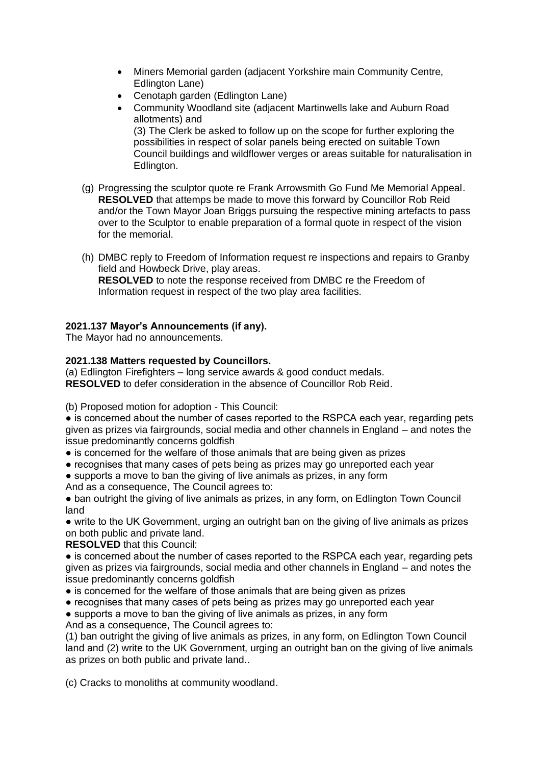- Miners Memorial garden (adjacent Yorkshire main Community Centre, Edlington Lane)
- Cenotaph garden (Edlington Lane)
- Community Woodland site (adjacent Martinwells lake and Auburn Road allotments) and (3) The Clerk be asked to follow up on the scope for further exploring the possibilities in respect of solar panels being erected on suitable Town Council buildings and wildflower verges or areas suitable for naturalisation in Edlington.
- (g) Progressing the sculptor quote re Frank Arrowsmith Go Fund Me Memorial Appeal. **RESOLVED** that attemps be made to move this forward by Councillor Rob Reid and/or the Town Mayor Joan Briggs pursuing the respective mining artefacts to pass over to the Sculptor to enable preparation of a formal quote in respect of the vision for the memorial.
- (h) DMBC reply to Freedom of Information request re inspections and repairs to Granby field and Howbeck Drive, play areas. **RESOLVED** to note the response received from DMBC re the Freedom of Information request in respect of the two play area facilities.

# **2021.137 Mayor's Announcements (if any).**

The Mayor had no announcements.

# **2021.138 Matters requested by Councillors.**

(a) Edlington Firefighters – long service awards & good conduct medals. **RESOLVED** to defer consideration in the absence of Councillor Rob Reid.

(b) Proposed motion for adoption - This Council:

• is concerned about the number of cases reported to the RSPCA each year, regarding pets given as prizes via fairgrounds, social media and other channels in England – and notes the issue predominantly concerns goldfish

- is concerned for the welfare of those animals that are being given as prizes
- recognises that many cases of pets being as prizes may go unreported each year

● supports a move to ban the giving of live animals as prizes, in any form And as a consequence, The Council agrees to:

● ban outright the giving of live animals as prizes, in any form, on Edlington Town Council land

• write to the UK Government, urging an outright ban on the giving of live animals as prizes on both public and private land.

**RESOLVED** that this Council:

• is concerned about the number of cases reported to the RSPCA each year, regarding pets given as prizes via fairgrounds, social media and other channels in England – and notes the issue predominantly concerns goldfish

- is concerned for the welfare of those animals that are being given as prizes
- recognises that many cases of pets being as prizes may go unreported each year
- supports a move to ban the giving of live animals as prizes, in any form

And as a consequence, The Council agrees to:

(1) ban outright the giving of live animals as prizes, in any form, on Edlington Town Council land and (2) write to the UK Government, urging an outright ban on the giving of live animals as prizes on both public and private land..

(c) Cracks to monoliths at community woodland.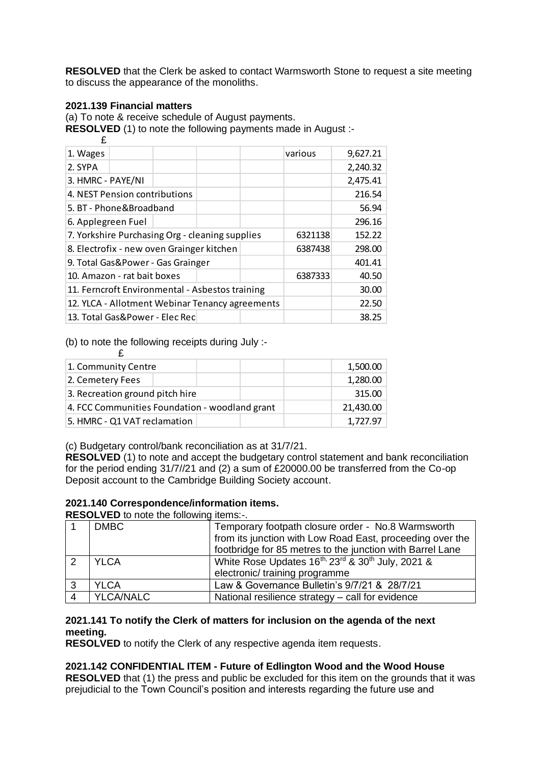**RESOLVED** that the Clerk be asked to contact Warmsworth Stone to request a site meeting to discuss the appearance of the monoliths.

# **2021.139 Financial matters**

£

(a) To note & receive schedule of August payments.

**RESOLVED** (1) to note the following payments made in August :-

| 1. Wages                                        |  |  |  |         | various | 9,627.21 |
|-------------------------------------------------|--|--|--|---------|---------|----------|
| 2. SYPA                                         |  |  |  |         |         | 2,240.32 |
| 3. HMRC - PAYE/NI                               |  |  |  |         |         | 2,475.41 |
| 4. NEST Pension contributions                   |  |  |  |         |         | 216.54   |
| 5. BT - Phone&Broadband                         |  |  |  |         |         | 56.94    |
| 6. Applegreen Fuel                              |  |  |  |         |         | 296.16   |
| 7. Yorkshire Purchasing Org - cleaning supplies |  |  |  |         | 6321138 | 152.22   |
| 8. Electrofix - new oven Grainger kitchen       |  |  |  |         | 6387438 | 298.00   |
| 9. Total Gas&Power - Gas Grainger               |  |  |  |         |         | 401.41   |
| 10. Amazon - rat bait boxes                     |  |  |  | 6387333 | 40.50   |          |
| 11. Ferncroft Environmental - Asbestos training |  |  |  |         |         | 30.00    |
| 12. YLCA - Allotment Webinar Tenancy agreements |  |  |  |         |         | 22.50    |
| 13. Total Gas&Power - Elec Rec                  |  |  |  |         |         | 38.25    |

(b) to note the following receipts during July :-

| 1. Community Centre                            |           | 1,500.00 |
|------------------------------------------------|-----------|----------|
| 2. Cemetery Fees                               |           | 1,280.00 |
| 3. Recreation ground pitch hire                |           | 315.00   |
| 4. FCC Communities Foundation - woodland grant | 21,430.00 |          |
| 5. HMRC - Q1 VAT reclamation                   |           | 1,727.97 |

(c) Budgetary control/bank reconciliation as at 31/7/21.

**RESOLVED** (1) to note and accept the budgetary control statement and bank reconciliation for the period ending 31/7//21 and (2) a sum of £20000.00 be transferred from the Co-op Deposit account to the Cambridge Building Society account.

# **2021.140 Correspondence/information items.**

**RESOLVED** to note the following items:-

|   | <b>DMBC</b>      | Temporary footpath closure order - No.8 Warmsworth        |  |  |  |
|---|------------------|-----------------------------------------------------------|--|--|--|
|   |                  | from its junction with Low Road East, proceeding over the |  |  |  |
|   |                  | footbridge for 85 metres to the junction with Barrel Lane |  |  |  |
|   | <b>YLCA</b>      | White Rose Updates 16th, 23rd & 30th July, 2021 &         |  |  |  |
|   |                  | electronic/ training programme                            |  |  |  |
| 3 | <b>YLCA</b>      | Law & Governance Bulletin's 9/7/21 & 28/7/21              |  |  |  |
|   | <b>YLCA/NALC</b> | National resilience strategy - call for evidence          |  |  |  |

#### **2021.141 To notify the Clerk of matters for inclusion on the agenda of the next meeting.**

**RESOLVED** to notify the Clerk of any respective agenda item requests.

# **2021.142 CONFIDENTIAL ITEM - Future of Edlington Wood and the Wood House**

**RESOLVED** that (1) the press and public be excluded for this item on the grounds that it was prejudicial to the Town Council's position and interests regarding the future use and